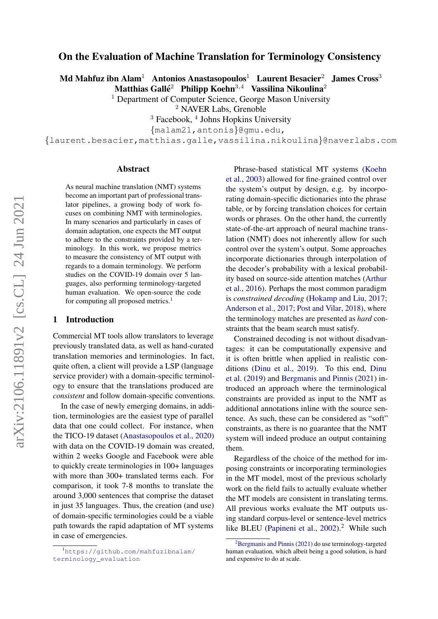# On the Evaluation of Machine Translation for Terminology Consistency

Md Mahfuz ibn Alam<sup>1</sup> Antonios Anastasopoulos<sup>1</sup> Laurent Besacier<sup>2</sup> James Cross<sup>3</sup>

Matthias Gallé<sup>2</sup> Philipp Koehn<sup>3,4</sup> Vassilina Nikoulina<sup>2</sup>

<sup>1</sup> Department of Computer Science, George Mason University

<sup>2</sup> NAVER Labs, Grenoble

<sup>3</sup> Facebook, <sup>4</sup> Johns Hopkins University

{malam21,antonis}@gmu.edu,

{laurent.besacier,matthias.galle,vassilina.nikoulina}@naverlabs.com

#### Abstract

As neural machine translation (NMT) systems become an important part of professional translator pipelines, a growing body of work focuses on combining NMT with terminologies. In many scenarios and particularly in cases of domain adaptation, one expects the MT output to adhere to the constraints provided by a terminology. In this work, we propose metrics to measure the consistency of MT output with regards to a domain terminology. We perform studies on the COVID-19 domain over 5 languages, also performing terminology-targeted human evaluation. We open-source the code for computing all proposed metrics.<sup>[1](#page-0-0)</sup>

#### 1 Introduction

Commercial MT tools allow translators to leverage previously translated data, as well as hand-curated translation memories and terminologies. In fact, quite often, a client will provide a LSP (language service provider) with a domain-specific terminology to ensure that the translations produced are *consistent* and follow domain-specific conventions.

In the case of newly emerging domains, in addition, terminologies are the easiest type of parallel data that one could collect. For instance, when the TICO-19 dataset [\(Anastasopoulos et al.,](#page-7-0) [2020\)](#page-7-0) with data on the COVID-19 domain was created, within 2 weeks Google and Facebook were able to quickly create terminologies in 100+ languages with more than 300+ translated terms each. For comparison, it took 7-8 months to translate the around 3,000 sentences that comprise the dataset in just 35 languages. Thus, the creation (and use) of domain-specific terminologies could be a viable path towards the rapid adaptation of MT systems in case of emergencies.

Phrase-based statistical MT systems [\(Koehn](#page-8-0) [et al.,](#page-8-0) [2003\)](#page-8-0) allowed for fine-grained control over the system's output by design, e.g. by incorporating domain-specific dictionaries into the phrase table, or by forcing translation choices for certain words or phrases. On the other hand, the currently state-of-the-art approach of neural machine translation (NMT) does not inherently allow for such control over the system's output. Some approaches incorporate dictionaries through interpolation of the decoder's probability with a lexical probability based on source-side attention matches [\(Arthur](#page-7-1) [et al.,](#page-7-1) [2016\)](#page-7-1). Perhaps the most common paradigm is *constrained decoding* [\(Hokamp and Liu,](#page-7-2) [2017;](#page-7-2) [Anderson et al.,](#page-7-3) [2017;](#page-7-3) [Post and Vilar,](#page-8-1) [2018\)](#page-8-1), where the terminology matches are presented as *hard* constraints that the beam search must satisfy.

Constrained decoding is not without disadvantages: it can be computationally expensive and it is often brittle when applied in realistic conditions [\(Dinu et al.,](#page-7-4) [2019\)](#page-7-4). To this end, [Dinu](#page-7-4) [et al.](#page-7-4) [\(2019\)](#page-7-4) and [Bergmanis and Pinnis](#page-7-5) [\(2021\)](#page-7-5) introduced an approach where the terminological constraints are provided as input to the NMT as additional annotations inline with the source sentence. As such, these can be considered as "soft" constraints, as there is no guarantee that the NMT system will indeed produce an output containing them.

Regardless of the choice of the method for imposing constraints or incorporating terminologies in the MT model, most of the previous scholarly work on the field fails to actually evaluate whether the MT models are consistent in translating terms. All previous works evaluate the MT outputs using standard corpus-level or sentence-level metrics like BLEU [\(Papineni et al.,](#page-8-2) [2002\)](#page-8-2).<sup>[2](#page-0-1)</sup> While such

<span id="page-0-0"></span><sup>1</sup>[https://github.com/mahfuzibnalam/](https://github.com/mahfuzibnalam/terminology_evaluation) [terminology\\_evaluation](https://github.com/mahfuzibnalam/terminology_evaluation)

<span id="page-0-1"></span> ${}^{2}$ [Bergmanis and Pinnis](#page-7-5) [\(2021\)](#page-7-5) do use terminology-targeted human evaluation, which albeit being a good solution, is hard and expensive to do at scale.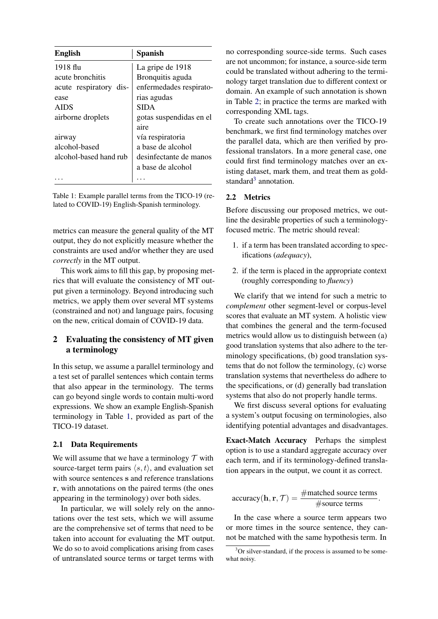<span id="page-1-0"></span>

| <b>English</b>         | <b>Spanish</b>          |
|------------------------|-------------------------|
| 1918 flu               | La gripe de 1918        |
| acute bronchitis       | Bronquitis aguda        |
| acute respiratory dis- | enfermedades respirato- |
| ease                   | rias agudas             |
| <b>AIDS</b>            | <b>SIDA</b>             |
| airborne droplets      | gotas suspendidas en el |
|                        | aire                    |
| airway                 | vía respiratoria        |
| alcohol-based          | a base de alcohol       |
| alcohol-based hand rub | desinfectante de manos  |
|                        | a base de alcohol       |
|                        |                         |

Table 1: Example parallel terms from the TICO-19 (related to COVID-19) English-Spanish terminology.

metrics can measure the general quality of the MT output, they do not explicitly measure whether the constraints are used and/or whether they are used *correctly* in the MT output.

This work aims to fill this gap, by proposing metrics that will evaluate the consistency of MT output given a terminology. Beyond introducing such metrics, we apply them over several MT systems (constrained and not) and language pairs, focusing on the new, critical domain of COVID-19 data.

## 2 Evaluating the consistency of MT given a terminology

In this setup, we assume a parallel terminology and a test set of parallel sentences which contain terms that also appear in the terminology. The terms can go beyond single words to contain multi-word expressions. We show an example English-Spanish terminology in Table [1,](#page-1-0) provided as part of the TICO-19 dataset.

#### 2.1 Data Requirements

We will assume that we have a terminology  $T$  with source-target term pairs  $\langle s, t \rangle$ , and evaluation set with source sentences s and reference translations r, with annotations on the paired terms (the ones appearing in the terminology) over both sides.

In particular, we will solely rely on the annotations over the test sets, which we will assume are the comprehensive set of terms that need to be taken into account for evaluating the MT output. We do so to avoid complications arising from cases of untranslated source terms or target terms with

no corresponding source-side terms. Such cases are not uncommon; for instance, a source-side term could be translated without adhering to the terminology target translation due to different context or domain. An example of such annotation is shown in Table [2;](#page-2-0) in practice the terms are marked with corresponding XML tags.

To create such annotations over the TICO-19 benchmark, we first find terminology matches over the parallel data, which are then verified by professional translators. In a more general case, one could first find terminology matches over an existing dataset, mark them, and treat them as gold-standard<sup>[3](#page-1-1)</sup> annotation.

### 2.2 Metrics

Before discussing our proposed metrics, we outline the desirable properties of such a terminologyfocused metric. The metric should reveal:

- 1. if a term has been translated according to specifications (*adequacy*),
- 2. if the term is placed in the appropriate context (roughly corresponding to *fluency*)

We clarify that we intend for such a metric to *complement* other segment-level or corpus-level scores that evaluate an MT system. A holistic view that combines the general and the term-focused metrics would allow us to distinguish between (a) good translation systems that also adhere to the terminology specifications, (b) good translation systems that do not follow the terminology, (c) worse translation systems that nevertheless do adhere to the specifications, or (d) generally bad translation systems that also do not properly handle terms.

We first discuss several options for evaluating a system's output focusing on terminologies, also identifying potential advantages and disadvantages.

Exact-Match Accuracy Perhaps the simplest option is to use a standard aggregate accuracy over each term, and if its terminology-defined translation appears in the output, we count it as correct.

accuracy(**h**, **r**, 
$$
\mathcal{T}
$$
) =  $\frac{\text{#matched source terms}}{\text{#source terms}}$ .

In the case where a source term appears two or more times in the source sentence, they cannot be matched with the same hypothesis term. In

<span id="page-1-1"></span> $3$ Or silver-standard, if the process is assumed to be somewhat noisy.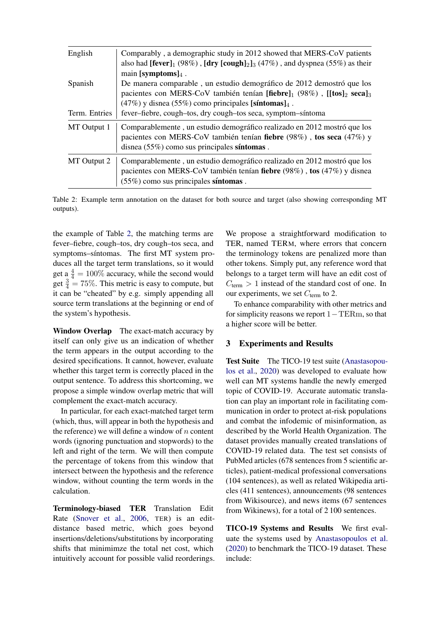<span id="page-2-0"></span>

| English                  | Comparably, a demographic study in 2012 showed that MERS-CoV patients<br>also had $[fever]_1$ (98%), $[dry [cough]_2]_3$ (47%), and dyspnea (55%) as their<br>main [symptoms] $_4$ .                                                                                        |
|--------------------------|-----------------------------------------------------------------------------------------------------------------------------------------------------------------------------------------------------------------------------------------------------------------------------|
| Spanish<br>Term. Entries | De manera comparable, un estudio demográfico de 2012 demostró que los<br>pacientes con MERS-CoV también tenían [fiebre]1 (98%), [[tos]2 seca]3<br>$(47%)$ y disnea (55%) como principales [síntomas] $_4$ .<br>fever-fiebre, cough-tos, dry cough-tos seca, symptom-síntoma |
| MT Output 1              | Comparablemente, un estudio demográfico realizado en 2012 mostró que los<br>pacientes con MERS-CoV también tenían fiebre (98%), tos seca (47%) y<br>disnea $(55\%)$ como sus principales síntomas.                                                                          |
| MT Output 2              | Comparablemente, un estudio demográfico realizado en 2012 mostró que los<br>pacientes con MERS-CoV también tenían fiebre (98%), tos (47%) y disnea<br>$(55\%)$ como sus principales síntomas.                                                                               |

Table 2: Example term annotation on the dataset for both source and target (also showing corresponding MT outputs).

the example of Table [2,](#page-2-0) the matching terms are fever–fiebre, cough–tos, dry cough–tos seca, and symptoms–sintomas. The first MT system produces all the target term translations, so it would get a  $\frac{4}{4} = 100\%$  accuracy, while the second would get  $\frac{3}{4} = 75\%$ . This metric is easy to compute, but it can be "cheated" by e.g. simply appending all source term translations at the beginning or end of the system's hypothesis.

Window Overlap The exact-match accuracy by itself can only give us an indication of whether the term appears in the output according to the desired specifications. It cannot, however, evaluate whether this target term is correctly placed in the output sentence. To address this shortcoming, we propose a simple window overlap metric that will complement the exact-match accuracy.

In particular, for each exact-matched target term (which, thus, will appear in both the hypothesis and the reference) we will define a window of  $n$  content words (ignoring punctuation and stopwords) to the left and right of the term. We will then compute the percentage of tokens from this window that intersect between the hypothesis and the reference window, without counting the term words in the calculation.

Terminology-biased TER Translation Edit Rate [\(Snover et al.,](#page-8-3) [2006,](#page-8-3) TER) is an editdistance based metric, which goes beyond insertions/deletions/substitutions by incorporating shifts that minimimze the total net cost, which intuitively account for possible valid reorderings.

We propose a straightforward modification to TER, named TERM, where errors that concern the terminology tokens are penalized more than other tokens. Simply put, any reference word that belongs to a target term will have an edit cost of  $C_{\text{term}} > 1$  instead of the standard cost of one. In our experiments, we set  $C_{\text{term}}$  to 2.

To enhance comparability with other metrics and for simplicity reasons we report 1−TERm, so that a higher score will be better.

### 3 Experiments and Results

Test Suite The TICO-19 test suite [\(Anastasopou](#page-7-0)[los et al.,](#page-7-0) [2020\)](#page-7-0) was developed to evaluate how well can MT systems handle the newly emerged topic of COVID-19. Accurate automatic translation can play an important role in facilitating communication in order to protect at-risk populations and combat the infodemic of misinformation, as described by the World Health Organization. The dataset provides manually created translations of COVID-19 related data. The test set consists of PubMed articles (678 sentences from 5 scientific articles), patient-medical professional conversations (104 sentences), as well as related Wikipedia articles (411 sentences), announcements (98 sentences from Wikisource), and news items (67 sentences from Wikinews), for a total of 2 100 sentences.

TICO-19 Systems and Results We first evaluate the systems used by [Anastasopoulos et al.](#page-7-0) [\(2020\)](#page-7-0) to benchmark the TICO-19 dataset. These include: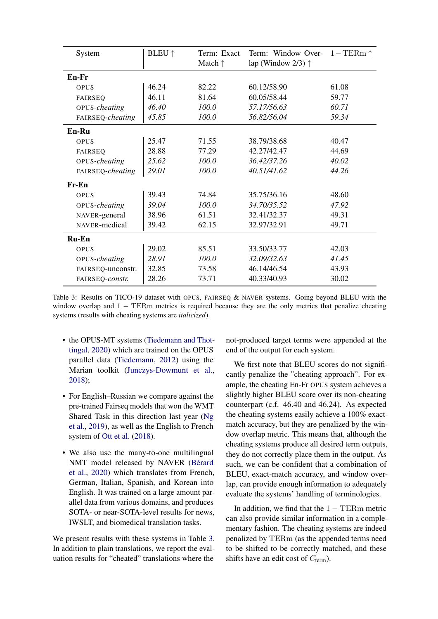<span id="page-3-0"></span>

| System            | <b>BLEU</b> $\uparrow$ | Term: Exact<br>Match $\uparrow$ | Term: Window Over-<br>lap (Window $2/3$ ) $\uparrow$ | $1-\text{TERm} \uparrow$ |
|-------------------|------------------------|---------------------------------|------------------------------------------------------|--------------------------|
| En-Fr             |                        |                                 |                                                      |                          |
| OPUS              | 46.24                  | 82.22                           | 60.12/58.90                                          | 61.08                    |
| <b>FAIRSEO</b>    | 46.11                  | 81.64                           | 60.05/58.44                                          | 59.77                    |
| OPUS-cheating     | 46.40                  | 100.0                           | 57.17/56.63                                          | 60.71                    |
| FAIRSEQ-cheating  | 45.85                  | 100.0                           | 56.82/56.04                                          | 59.34                    |
| $En-Ru$           |                        |                                 |                                                      |                          |
| OPUS              | 25.47                  | 71.55                           | 38.79/38.68                                          | 40.47                    |
| <b>FAIRSEO</b>    | 28.88                  | 77.29                           | 42.27/42.47                                          | 44.69                    |
| OPUS-cheating     | 25.62                  | 100.0                           | 36.42/37.26                                          | 40.02                    |
| FAIRSEQ-cheating  | 29.01                  | 100.0                           | 40.51/41.62                                          | 44.26                    |
| Fr-En             |                        |                                 |                                                      |                          |
| OPUS              | 39.43                  | 74.84                           | 35.75/36.16                                          | 48.60                    |
| OPUS-cheating     | 39.04                  | 100.0                           | 34.70/35.52                                          | 47.92                    |
| NAVER-general     | 38.96                  | 61.51                           | 32.41/32.37                                          | 49.31                    |
| NAVER-medical     | 39.42                  | 62.15                           | 32.97/32.91                                          | 49.71                    |
| <b>Ru-En</b>      |                        |                                 |                                                      |                          |
| OPUS              | 29.02                  | 85.51                           | 33.50/33.77                                          | 42.03                    |
| OPUS-cheating     | 28.91                  | 100.0                           | 32.09/32.63                                          | 41.45                    |
| FAIRSEQ-unconstr. | 32.85                  | 73.58                           | 46.14/46.54                                          | 43.93                    |
| FAIRSEO-constr.   | 28.26                  | 73.71                           | 40.33/40.93                                          | 30.02                    |

Table 3: Results on TICO-19 dataset with OPUS, FAIRSEQ & NAVER systems. Going beyond BLEU with the window overlap and  $1 - \text{TERm}$  metrics is required because they are the only metrics that penalize cheating systems (results with cheating systems are *italicized*).

- the OPUS-MT systems [\(Tiedemann and Thot](#page-9-0)[tingal,](#page-9-0) [2020\)](#page-9-0) which are trained on the OPUS parallel data [\(Tiedemann,](#page-9-1) [2012\)](#page-9-1) using the Marian toolkit [\(Junczys-Dowmunt et al.,](#page-8-4) [2018\)](#page-8-4);
- For English–Russian we compare against the pre-trained Fairseq models that won the WMT Shared Task in this direction last year [\(Ng](#page-8-5) [et al.,](#page-8-5) [2019\)](#page-8-5), as well as the English to French system of [Ott et al.](#page-8-6) [\(2018\)](#page-8-6).
- We also use the many-to-one multilingual NMT model released by NAVER (Bérard [et al.,](#page-7-6) [2020\)](#page-7-6) which translates from French, German, Italian, Spanish, and Korean into English. It was trained on a large amount parallel data from various domains, and produces SOTA- or near-SOTA-level results for news, IWSLT, and biomedical translation tasks.

We present results with these systems in Table [3.](#page-3-0) In addition to plain translations, we report the evaluation results for "cheated" translations where the

not-produced target terms were appended at the end of the output for each system.

We first note that BLEU scores do not significantly penalize the "cheating approach". For example, the cheating En-Fr OPUS system achieves a slightly higher BLEU score over its non-cheating counterpart (c.f. 46.40 and 46.24). As expected the cheating systems easily achieve a 100% exactmatch accuracy, but they are penalized by the window overlap metric. This means that, although the cheating systems produce all desired term outputs, they do not correctly place them in the output. As such, we can be confident that a combination of BLEU, exact-match accuracy, and window overlap, can provide enough information to adequately evaluate the systems' handling of terminologies.

In addition, we find that the  $1 - \text{TERm}$  metric can also provide similar information in a complementary fashion. The cheating systems are indeed penalized by TERm (as the appended terms need to be shifted to be correctly matched, and these shifts have an edit cost of  $C_{\text{term}}$ ).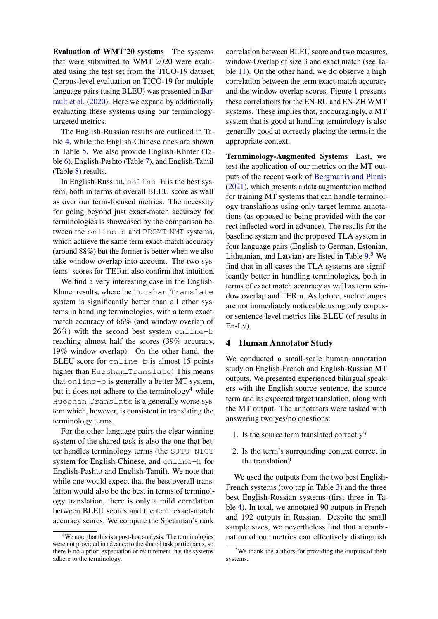Evaluation of WMT'20 systems The systems that were submitted to WMT 2020 were evaluated using the test set from the TICO-19 dataset. Corpus-level evaluation on TICO-19 for multiple language pairs (using BLEU) was presented in [Bar](#page-7-7)[rault et al.](#page-7-7) [\(2020\)](#page-7-7). Here we expand by additionally evaluating these systems using our terminologytargeted metrics.

The English-Russian results are outlined in Table [4,](#page-5-0) while the English-Chinese ones are shown in Table [5.](#page-7-8) We also provide English-Khmer (Table [6\)](#page-7-9), English-Pashto (Table [7\)](#page-8-7), and English-Tamil (Table [8\)](#page-8-8) results.

In English-Russian, online-b is the best system, both in terms of overall BLEU score as well as over our term-focused metrics. The necessity for going beyond just exact-match accuracy for terminologies is showcased by the comparison between the online-b and PROMT\_NMT systems, which achieve the same term exact-match accuracy (around 88%) but the former is better when we also take window overlap into account. The two systems' scores for TERm also confirm that intuition.

We find a very interesting case in the English-Khmer results, where the Huoshan Translate system is significantly better than all other systems in handling terminologies, with a term exactmatch accuracy of 66% (and window overlap of 26%) with the second best system online-b reaching almost half the scores (39% accuracy, 19% window overlap). On the other hand, the BLEU score for online-b is almost 15 points higher than Huoshan Translate! This means that online-b is generally a better MT system, but it does not adhere to the terminology<sup>[4](#page-4-0)</sup> while Huoshan Translate is a generally worse system which, however, is consistent in translating the terminology terms.

For the other language pairs the clear winning system of the shared task is also the one that better handles terminology terms (the SJTU-NICT system for English-Chinese, and online-b for English-Pashto and English-Tamil). We note that while one would expect that the best overall translation would also be the best in terms of terminology translation, there is only a mild correlation between BLEU scores and the term exact-match accuracy scores. We compute the Spearman's rank

correlation between BLEU score and two measures, window-Overlap of size 3 and exact match (see Table [11\)](#page-10-0). On the other hand, we do observe a high correlation between the term exact-match accuracy and the window overlap scores. Figure [1](#page-5-1) presents these correlations for the EN-RU and EN-ZH WMT systems. These implies that, encouragingly, a MT system that is good at handling terminology is also generally good at correctly placing the terms in the appropriate context.

Ternminology-Augmented Systems Last, we test the application of our metrics on the MT outputs of the recent work of [Bergmanis and Pinnis](#page-7-5) [\(2021\)](#page-7-5), which presents a data augmentation method for training MT systems that can handle terminology translations using only target lemma annotations (as opposed to being provided with the correct inflected word in advance). The results for the baseline system and the proposed TLA system in four language pairs (English to German, Estonian, Lithuanian, and Latvian) are listed in Table [9.](#page-9-2) [5](#page-4-1) We find that in all cases the TLA systems are significantly better in handling terminologies, both in terms of exact match accuracy as well as term window overlap and TERm. As before, such changes are not immediately noticeable using only corpusor sentence-level metrics like BLEU (cf results in En-Lv).

### 4 Human Annotator Study

We conducted a small-scale human annotation study on English-French and English-Russian MT outputs. We presented experienced bilingual speakers with the English source sentence, the source term and its expected target translation, along with the MT output. The annotators were tasked with answering two yes/no questions:

- 1. Is the source term translated correctly?
- 2. Is the term's surrounding context correct in the translation?

We used the outputs from the two best English-French systems (two top in Table [3\)](#page-3-0) and the three best English-Russian systems (first three in Table [4\)](#page-5-0). In total, we annotated 90 outputs in French and 192 outputs in Russian. Despite the small sample sizes, we nevertheless find that a combination of our metrics can effectively distinguish

<span id="page-4-0"></span><sup>&</sup>lt;sup>4</sup>We note that this is a post-hoc analysis. The terminologies were not provided in advance to the shared task participants, so there is no a priori expectation or requirement that the systems adhere to the terminology.

<span id="page-4-1"></span><sup>5</sup>We thank the authors for providing the outputs of their systems.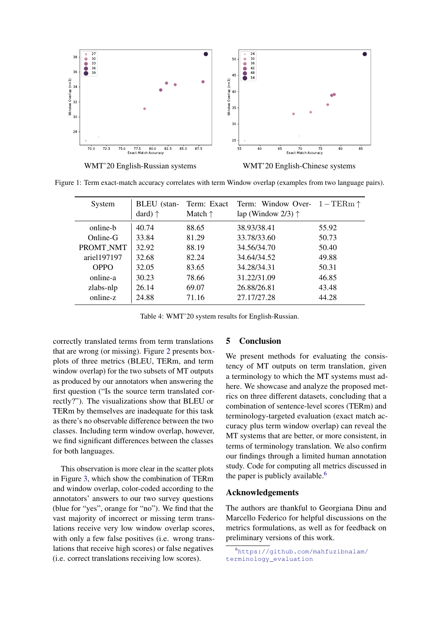<span id="page-5-1"></span>

WMT'20 English-Russian systems WMT'20 English-Chinese systems

<span id="page-5-0"></span>Figure 1: Term exact-match accuracy correlates with term Window overlap (examples from two language pairs).

| System      | BLEU (stan-<br>dard) $\uparrow$ | Term: Exact<br>Match $\uparrow$ | Term: Window Over- $1 - \text{TERm} \uparrow$<br>lap (Window 2/3) $\uparrow$ |       |
|-------------|---------------------------------|---------------------------------|------------------------------------------------------------------------------|-------|
| online-b    | 40.74                           | 88.65                           | 38.93/38.41                                                                  | 55.92 |
| Online-G    | 33.84                           | 81.29                           | 33.78/33.60                                                                  | 50.73 |
| PROMT NMT   | 32.92                           | 88.19                           | 34.56/34.70                                                                  | 50.40 |
| ariel197197 | 32.68                           | 82.24                           | 34.64/34.52                                                                  | 49.88 |
| OPPO        | 32.05                           | 83.65                           | 34.28/34.31                                                                  | 50.31 |
| online-a    | 30.23                           | 78.66                           | 31.22/31.09                                                                  | 46.85 |
| zlabs-nlp   | 26.14                           | 69.07                           | 26.88/26.81                                                                  | 43.48 |
| online-z    | 24.88                           | 71.16                           | 27.17/27.28                                                                  | 44.28 |

Table 4: WMT'20 system results for English-Russian.

correctly translated terms from term translations that are wrong (or missing). Figure [2](#page-6-0) presents boxplots of three metrics (BLEU, TERm, and term window overlap) for the two subsets of MT outputs as produced by our annotators when answering the first question ("Is the source term translated correctly?"). The visualizations show that BLEU or TERm by themselves are inadequate for this task as there's no observable difference between the two classes. Including term window overlap, however, we find significant differences between the classes for both languages.

This observation is more clear in the scatter plots in Figure [3,](#page-6-1) which show the combination of TERm and window overlap, color-coded according to the annotators' answers to our two survey questions (blue for "yes", orange for "no"). We find that the vast majority of incorrect or missing term translations receive very low window overlap scores, with only a few false positives (i.e. wrong translations that receive high scores) or false negatives (i.e. correct translations receiving low scores).

### 5 Conclusion

We present methods for evaluating the consistency of MT outputs on term translation, given a terminology to which the MT systems must adhere. We showcase and analyze the proposed metrics on three different datasets, concluding that a combination of sentence-level scores (TERm) and terminology-targeted evaluation (exact match accuracy plus term window overlap) can reveal the MT systems that are better, or more consistent, in terms of terminology translation. We also confirm our findings through a limited human annotation study. Code for computing all metrics discussed in the paper is publicly available.<sup>[6](#page-5-2)</sup>

#### Acknowledgements

The authors are thankful to Georgiana Dinu and Marcello Federico for helpful discussions on the metrics formulations, as well as for feedback on preliminary versions of this work.

<span id="page-5-2"></span><sup>6</sup>[https://github.com/mahfuzibnalam/](https://github.com/mahfuzibnalam/terminology_evaluation) [terminology\\_evaluation](https://github.com/mahfuzibnalam/terminology_evaluation)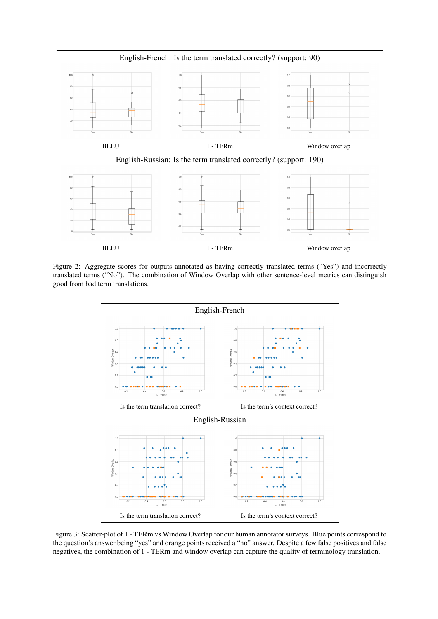<span id="page-6-0"></span>

English-French: Is the term translated correctly? (support: 90)

Figure 2: Aggregate scores for outputs annotated as having correctly translated terms ("Yes") and incorrectly translated terms ("No"). The combination of Window Overlap with other sentence-level metrics can distinguish good from bad term translations.

<span id="page-6-1"></span>

Figure 3: Scatter-plot of 1 - TERm vs Window Overlap for our human annotator surveys. Blue points correspond to the question's answer being "yes" and orange points received a "no" answer. Despite a few false positives and false negatives, the combination of 1 - TERm and window overlap can capture the quality of terminology translation.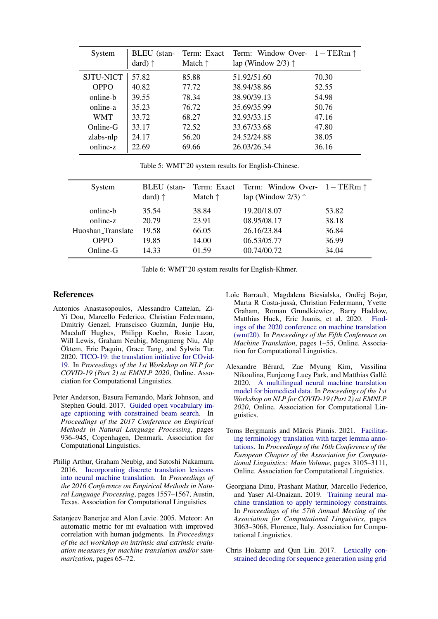<span id="page-7-8"></span>

| System           | BLEU (stan-<br>dard) $\uparrow$ | Term: Exact<br>Match $\uparrow$ | Term: Window Over- $1 - \text{TERm} \uparrow$<br>lap (Window 2/3) $\uparrow$ |       |
|------------------|---------------------------------|---------------------------------|------------------------------------------------------------------------------|-------|
| <b>SJTU-NICT</b> | 57.82                           | 85.88                           | 51.92/51.60                                                                  | 70.30 |
| <b>OPPO</b>      | 40.82                           | 77.72                           | 38.94/38.86                                                                  | 52.55 |
| online-b         | 39.55                           | 78.34                           | 38.90/39.13                                                                  | 54.98 |
| online-a         | 35.23                           | 76.72                           | 35.69/35.99                                                                  | 50.76 |
| <b>WMT</b>       | 33.72                           | 68.27                           | 32.93/33.15                                                                  | 47.16 |
| Online-G         | 33.17                           | 72.52                           | 33.67/33.68                                                                  | 47.80 |
| zlabs-nlp        | 24.17                           | 56.20                           | 24.52/24.88                                                                  | 38.05 |
| online-z         | 22.69                           | 69.66                           | 26.03/26.34                                                                  | 36.16 |

Table 5: WMT'20 system results for English-Chinese.

<span id="page-7-9"></span>

| System            | BLEU (stan-<br>dard) $\uparrow$ | Match $\uparrow$ | Term: Exact Term: Window Over- $1-\text{TERm} \uparrow$<br>lap (Window 2/3) $\uparrow$ |       |
|-------------------|---------------------------------|------------------|----------------------------------------------------------------------------------------|-------|
| online-b          | 35.54                           | 38.84            | 19.20/18.07                                                                            | 53.82 |
| online-z          | 20.79                           | 23.91            | 08.95/08.17                                                                            | 38.18 |
| Huoshan Translate | 19.58                           | 66.05            | 26.16/23.84                                                                            | 36.84 |
| <b>OPPO</b>       | 19.85                           | 14.00            | 06.53/05.77                                                                            | 36.99 |
| $Online-G$        | 14.33                           | 01.59            | 00.74/00.72                                                                            | 34.04 |

Table 6: WMT'20 system results for English-Khmer.

#### References

- <span id="page-7-0"></span>Antonios Anastasopoulos, Alessandro Cattelan, Zi-Yi Dou, Marcello Federico, Christian Federmann, Dmitriy Genzel, Franscisco Guzmán, Junjie Hu, Macduff Hughes, Philipp Koehn, Rosie Lazar, Will Lewis, Graham Neubig, Mengmeng Niu, Alp Öktem, Eric Paquin, Grace Tang, and Sylwia Tur. 2020. [TICO-19: the translation initiative for COvid-](https://doi.org/10.18653/v1/2020.nlpcovid19-2.5)[19.](https://doi.org/10.18653/v1/2020.nlpcovid19-2.5) In *Proceedings of the 1st Workshop on NLP for COVID-19 (Part 2) at EMNLP 2020*, Online. Association for Computational Linguistics.
- <span id="page-7-3"></span>Peter Anderson, Basura Fernando, Mark Johnson, and Stephen Gould. 2017. [Guided open vocabulary im](https://doi.org/10.18653/v1/D17-1098)[age captioning with constrained beam search.](https://doi.org/10.18653/v1/D17-1098) In *Proceedings of the 2017 Conference on Empirical Methods in Natural Language Processing*, pages 936–945, Copenhagen, Denmark. Association for Computational Linguistics.
- <span id="page-7-1"></span>Philip Arthur, Graham Neubig, and Satoshi Nakamura. 2016. [Incorporating discrete translation lexicons](https://doi.org/10.18653/v1/D16-1162) [into neural machine translation.](https://doi.org/10.18653/v1/D16-1162) In *Proceedings of the 2016 Conference on Empirical Methods in Natural Language Processing*, pages 1557–1567, Austin, Texas. Association for Computational Linguistics.
- <span id="page-7-10"></span>Satanjeev Banerjee and Alon Lavie. 2005. Meteor: An automatic metric for mt evaluation with improved correlation with human judgments. In *Proceedings of the acl workshop on intrinsic and extrinsic evaluation measures for machine translation and/or summarization*, pages 65–72.
- <span id="page-7-7"></span>Loïc Barrault, Magdalena Biesialska, Ondřej Bojar, Marta R Costa-jussa, Christian Federmann, Yvette ` Graham, Roman Grundkiewicz, Barry Haddow, Matthias Huck, Eric Joanis, et al. 2020. [Find](https://www.aclweb.org/anthology/2020.wmt-1.1)[ings of the 2020 conference on machine translation](https://www.aclweb.org/anthology/2020.wmt-1.1) [\(wmt20\).](https://www.aclweb.org/anthology/2020.wmt-1.1) In *Proceedings of the Fifth Conference on Machine Translation*, pages 1–55, Online. Association for Computational Linguistics.
- <span id="page-7-6"></span>Alexandre Berard, Zae Myung Kim, Vassilina ´ Nikoulina, Eunjeong Lucy Park, and Matthias Galle.´ 2020. [A multilingual neural machine translation](https://doi.org/10.18653/v1/2020.nlpcovid19-2.16) [model for biomedical data.](https://doi.org/10.18653/v1/2020.nlpcovid19-2.16) In *Proceedings of the 1st Workshop on NLP for COVID-19 (Part 2) at EMNLP 2020*, Online. Association for Computational Linguistics.
- <span id="page-7-5"></span>Toms Bergmanis and Mārcis Pinnis. 2021. [Facilitat](https://www.aclweb.org/anthology/2021.eacl-main.271)[ing terminology translation with target lemma anno](https://www.aclweb.org/anthology/2021.eacl-main.271)[tations.](https://www.aclweb.org/anthology/2021.eacl-main.271) In *Proceedings of the 16th Conference of the European Chapter of the Association for Computational Linguistics: Main Volume*, pages 3105–3111, Online. Association for Computational Linguistics.
- <span id="page-7-4"></span>Georgiana Dinu, Prashant Mathur, Marcello Federico, and Yaser Al-Onaizan. 2019. [Training neural ma](https://doi.org/10.18653/v1/P19-1294)[chine translation to apply terminology constraints.](https://doi.org/10.18653/v1/P19-1294) In *Proceedings of the 57th Annual Meeting of the Association for Computational Linguistics*, pages 3063–3068, Florence, Italy. Association for Computational Linguistics.
- <span id="page-7-2"></span>Chris Hokamp and Qun Liu. 2017. [Lexically con](https://doi.org/10.18653/v1/P17-1141)[strained decoding for sequence generation using grid](https://doi.org/10.18653/v1/P17-1141)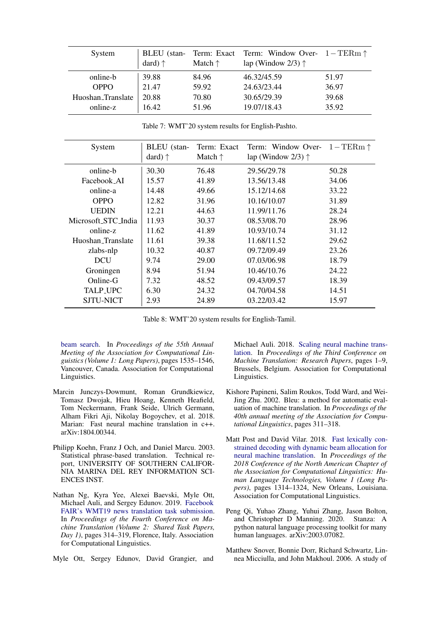<span id="page-8-7"></span>

| System            | dard) $\uparrow$ | Match $\uparrow$ | BLEU (stan- Term: Exact Term: Window Over- $1 - \text{TERm} \uparrow$<br>lap (Window 2/3) $\uparrow$ |       |
|-------------------|------------------|------------------|------------------------------------------------------------------------------------------------------|-------|
| online-b          | 39.88            | 84.96            | 46.32/45.59                                                                                          | 51.97 |
| <b>OPPO</b>       | 21.47            | 59.92            | 24.63/23.44                                                                                          | 36.97 |
| Huoshan_Translate | 20.88            | 70.80            | 30.65/29.39                                                                                          | 39.68 |
| online-z          | 16.42            | 51.96            | 19.07/18.43                                                                                          | 35.92 |

Table 7: WMT'20 system results for English-Pashto.

<span id="page-8-8"></span>

| System              | BLEU (stan-<br>dard) $\uparrow$ | Term: Exact<br>Match $\uparrow$ | Term: Window Over- $1 - \text{TERm} \uparrow$<br>lap (Window 2/3) $\uparrow$ |       |
|---------------------|---------------------------------|---------------------------------|------------------------------------------------------------------------------|-------|
| online-b            | 30.30                           | 76.48                           | 29.56/29.78                                                                  | 50.28 |
| Facebook AI         | 15.57                           | 41.89                           | 13.56/13.48                                                                  | 34.06 |
| online-a            | 14.48                           | 49.66                           | 15.12/14.68                                                                  | 33.22 |
| <b>OPPO</b>         | 12.82                           | 31.96                           | 10.16/10.07                                                                  | 31.89 |
| <b>UEDIN</b>        | 12.21                           | 44.63                           | 11.99/11.76                                                                  | 28.24 |
| Microsoft_STC_India | 11.93                           | 30.37                           | 08.53/08.70                                                                  | 28.96 |
| online-z            | 11.62                           | 41.89                           | 10.93/10.74                                                                  | 31.12 |
| Huoshan Translate   | 11.61                           | 39.38                           | 11.68/11.52                                                                  | 29.62 |
| zlabs-nlp           | 10.32                           | 40.87                           | 09.72/09.49                                                                  | 23.26 |
| <b>DCU</b>          | 9.74                            | 29.00                           | 07.03/06.98                                                                  | 18.79 |
| Groningen           | 8.94                            | 51.94                           | 10.46/10.76                                                                  | 24.22 |
| Online-G            | 7.32                            | 48.52                           | 09.43/09.57                                                                  | 18.39 |
| <b>TALP_UPC</b>     | 6.30                            | 24.32                           | 04.70/04.58                                                                  | 14.51 |
| SJTU-NICT           | 2.93                            | 24.89                           | 03.22/03.42                                                                  | 15.97 |

Table 8: WMT'20 system results for English-Tamil.

[beam search.](https://doi.org/10.18653/v1/P17-1141) In *Proceedings of the 55th Annual Meeting of the Association for Computational Linguistics (Volume 1: Long Papers)*, pages 1535–1546, Vancouver, Canada. Association for Computational Linguistics.

- <span id="page-8-4"></span>Marcin Junczys-Dowmunt, Roman Grundkiewicz, Tomasz Dwojak, Hieu Hoang, Kenneth Heafield, Tom Neckermann, Frank Seide, Ulrich Germann, Alham Fikri Aji, Nikolay Bogoychev, et al. 2018. Marian: Fast neural machine translation in c++. arXiv:1804.00344.
- <span id="page-8-0"></span>Philipp Koehn, Franz J Och, and Daniel Marcu. 2003. Statistical phrase-based translation. Technical report, UNIVERSITY OF SOUTHERN CALIFOR-NIA MARINA DEL REY INFORMATION SCI-ENCES INST.
- <span id="page-8-5"></span>Nathan Ng, Kyra Yee, Alexei Baevski, Myle Ott, Michael Auli, and Sergey Edunov. 2019. [Facebook](https://doi.org/10.18653/v1/W19-5333) [FAIR's WMT19 news translation task submission.](https://doi.org/10.18653/v1/W19-5333) In *Proceedings of the Fourth Conference on Machine Translation (Volume 2: Shared Task Papers, Day 1)*, pages 314–319, Florence, Italy. Association for Computational Linguistics.
- <span id="page-8-6"></span>Myle Ott, Sergey Edunov, David Grangier, and

Michael Auli. 2018. [Scaling neural machine trans](https://doi.org/10.18653/v1/W18-6301)[lation.](https://doi.org/10.18653/v1/W18-6301) In *Proceedings of the Third Conference on Machine Translation: Research Papers*, pages 1–9, Brussels, Belgium. Association for Computational Linguistics.

- <span id="page-8-2"></span>Kishore Papineni, Salim Roukos, Todd Ward, and Wei-Jing Zhu. 2002. Bleu: a method for automatic evaluation of machine translation. In *Proceedings of the 40th annual meeting of the Association for Computational Linguistics*, pages 311–318.
- <span id="page-8-1"></span>Matt Post and David Vilar. 2018. [Fast lexically con](https://doi.org/10.18653/v1/N18-1119)[strained decoding with dynamic beam allocation for](https://doi.org/10.18653/v1/N18-1119) [neural machine translation.](https://doi.org/10.18653/v1/N18-1119) In *Proceedings of the 2018 Conference of the North American Chapter of the Association for Computational Linguistics: Human Language Technologies, Volume 1 (Long Papers)*, pages 1314–1324, New Orleans, Louisiana. Association for Computational Linguistics.
- <span id="page-8-9"></span>Peng Qi, Yuhao Zhang, Yuhui Zhang, Jason Bolton, and Christopher D Manning. 2020. Stanza: A python natural language processing toolkit for many human languages. arXiv:2003.07082.
- <span id="page-8-3"></span>Matthew Snover, Bonnie Dorr, Richard Schwartz, Linnea Micciulla, and John Makhoul. 2006. A study of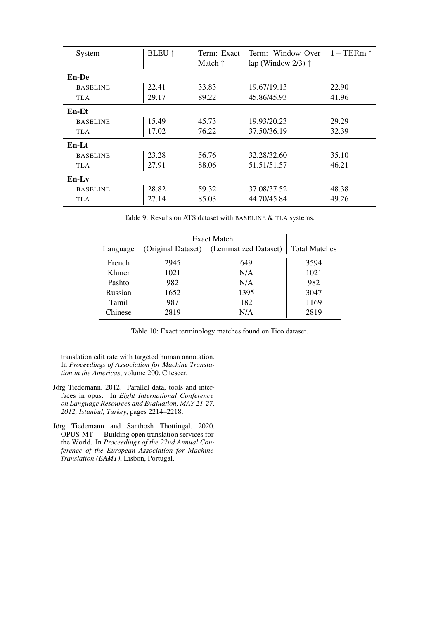<span id="page-9-2"></span>

| System          | <b>BLEU</b> $\uparrow$ | Term: Exact<br>Match $\uparrow$ | Term: Window Over- $1 - \text{TERm} \uparrow$<br>lap (Window 2/3) $\uparrow$ |       |
|-----------------|------------------------|---------------------------------|------------------------------------------------------------------------------|-------|
|                 |                        |                                 |                                                                              |       |
| En-De           |                        |                                 |                                                                              |       |
| <b>BASELINE</b> | 22.41                  | 33.83                           | 19.67/19.13                                                                  | 22.90 |
| <b>TLA</b>      | 29.17                  | 89.22                           | 45.86/45.93                                                                  | 41.96 |
| En-Et           |                        |                                 |                                                                              |       |
| <b>BASELINE</b> | 15.49                  | 45.73                           | 19.93/20.23                                                                  | 29.29 |
| <b>TLA</b>      | 17.02                  | 76.22                           | 37.50/36.19                                                                  | 32.39 |
| $En-Lt$         |                        |                                 |                                                                              |       |
| <b>BASELINE</b> | 23.28                  | 56.76                           | 32.28/32.60                                                                  | 35.10 |
| <b>TLA</b>      | 27.91                  | 88.06                           | 51.51/51.57                                                                  | 46.21 |
| $En-I.v$        |                        |                                 |                                                                              |       |
| <b>BASELINE</b> | 28.82                  | 59.32                           | 37.08/37.52                                                                  | 48.38 |
| <b>TLA</b>      | 27.14                  | 85.03                           | 44.70/45.84                                                                  | 49.26 |

Table 9: Results on ATS dataset with BASELINE & TLA systems.

|          | Exact Match        |                      |                      |
|----------|--------------------|----------------------|----------------------|
| Language | (Original Dataset) | (Lemmatized Dataset) | <b>Total Matches</b> |
| French   | 2945               | 649                  | 3594                 |
| Khmer    | 1021               | N/A                  | 1021                 |
| Pashto   | 982                | N/A                  | 982                  |
| Russian  | 1652               | 1395                 | 3047                 |
| Tamil    | 987                | 182                  | 1169                 |
| Chinese  | 2819               | N/A                  | 2819                 |

Table 10: Exact terminology matches found on Tico dataset.

translation edit rate with targeted human annotation. In *Proceedings of Association for Machine Translation in the Americas*, volume 200. Citeseer.

- <span id="page-9-1"></span>Jörg Tiedemann. 2012. Parallel data, tools and interfaces in opus. In *Eight International Conference on Language Resources and Evaluation, MAY 21-27, 2012, Istanbul, Turkey*, pages 2214–2218.
- <span id="page-9-0"></span>Jörg Tiedemann and Santhosh Thottingal. 2020. OPUS-MT — Building open translation services for the World. In *Proceedings of the 22nd Annual Conferenec of the European Association for Machine Translation (EAMT)*, Lisbon, Portugal.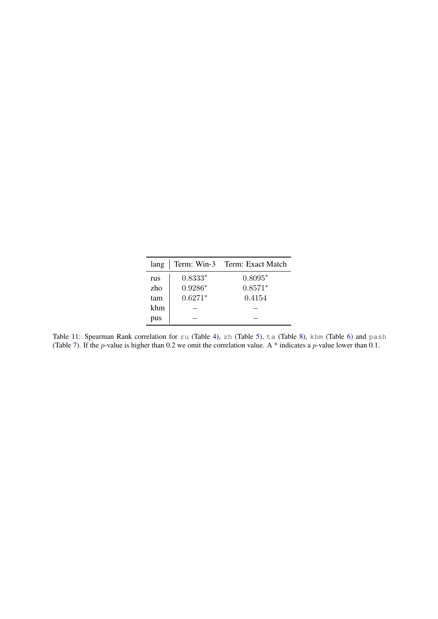| lang |           | Term: Win-3 Term: Exact Match |
|------|-----------|-------------------------------|
| rus  | $0.8333*$ | $0.8095*$                     |
| zho  | $0.9286*$ | $0.8571*$                     |
| tam  | $0.6271*$ | 0.4154                        |
| khm  |           |                               |
| pus  |           |                               |

<span id="page-10-0"></span>Table 11: Spearman Rank correlation for ru (Table [4\)](#page-5-0), zh (Table [5\)](#page-7-8), ta (Table [8\)](#page-8-8), khm (Table [6\)](#page-7-9) and pash (Table [7\)](#page-8-7). If the *p*-value is higher than 0.2 we omit the correlation value. A  $*$  indicates a *p*-value lower than 0.1.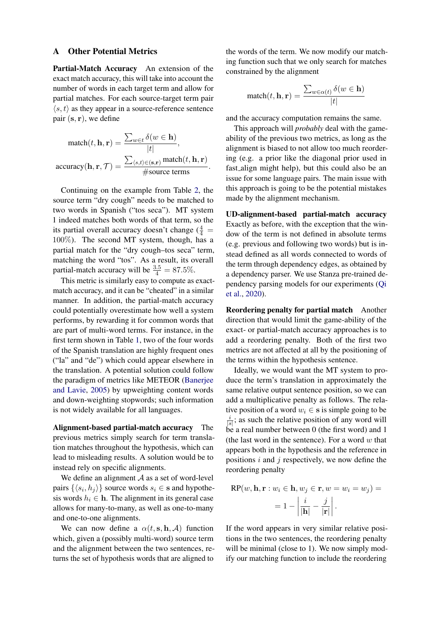#### A Other Potential Metrics

Partial-Match Accuracy An extension of the exact match accuracy, this will take into account the number of words in each target term and allow for partial matches. For each source-target term pair  $\langle s, t \rangle$  as they appear in a source-reference sentence pair  $({\bf s}, {\bf r})$ , we define

$$
\begin{aligned}\n\text{match}(t, \mathbf{h}, \mathbf{r}) &= \frac{\sum_{w \in t} \delta(w \in \mathbf{h})}{|t|}, \\
\text{accuracy}(\mathbf{h}, \mathbf{r}, \mathcal{T}) &= \frac{\sum_{\langle s, t \rangle \in (\mathbf{s}, \mathbf{r})} \text{match}(t, \mathbf{h}, \mathbf{r})}{\# \text{source terms}}.\n\end{aligned}
$$

Continuing on the example from Table [2,](#page-2-0) the source term "dry cough" needs to be matched to two words in Spanish ("tos seca"). MT system 1 indeed matches both words of that term, so the its partial overall accuracy doesn't change  $(\frac{4}{4})$ 100%). The second MT system, though, has a partial match for the "dry cough–tos seca" term, matching the word "tos". As a result, its overall partial-match accuracy will be  $\frac{3.5}{4} = 87.5\%$ .

This metric is similarly easy to compute as exactmatch accuracy, and it can be "cheated" in a similar manner. In addition, the partial-match accuracy could potentially overestimate how well a system performs, by rewarding it for common words that are part of multi-word terms. For instance, in the first term shown in Table [1,](#page-1-0) two of the four words of the Spanish translation are highly frequent ones ("la" and "de") which could appear elsewhere in the translation. A potential solution could follow the paradigm of metrics like METEOR [\(Banerjee](#page-7-10) [and Lavie,](#page-7-10) [2005\)](#page-7-10) by upweighting content words and down-weighting stopwords; such information is not widely available for all languages.

Alignment-based partial-match accuracy The previous metrics simply search for term translation matches throughout the hypothesis, which can lead to misleading results. A solution would be to instead rely on specific alignments.

We define an alignment  $A$  as a set of word-level pairs  $\{\langle s_i, h_j \rangle\}$  source words  $s_i \in \mathbf{s}$  and hypothesis words  $h_i \in \mathbf{h}$ . The alignment in its general case allows for many-to-many, as well as one-to-many and one-to-one alignments.

We can now define a  $\alpha(t, s, h, A)$  function which, given a (possibly multi-word) source term and the alignment between the two sentences, returns the set of hypothesis words that are aligned to the words of the term. We now modify our matching function such that we only search for matches constrained by the alignment

$$
\text{match}(t, \mathbf{h}, \mathbf{r}) = \frac{\sum_{w \in \alpha(t)} \delta(w \in \mathbf{h})}{|t|}
$$

and the accuracy computation remains the same.

This approach will *probably* deal with the gameability of the previous two metrics, as long as the alignment is biased to not allow too much reordering (e.g. a prior like the diagonal prior used in fast align might help), but this could also be an issue for some language pairs. The main issue with this approach is going to be the potential mistakes made by the alignment mechanism.

UD-alignment-based partial-match accuracy Exactly as before, with the exception that the window of the term is not defined in absolute terms (e.g. previous and following two words) but is instead defined as all words connected to words of the term through dependency edges, as obtained by a dependency parser. We use Stanza pre-trained dependency parsing models for our experiments [\(Qi](#page-8-9) [et al.,](#page-8-9) [2020\)](#page-8-9).

Reordering penalty for partial match Another direction that would limit the game-ability of the exact- or partial-match accuracy approaches is to add a reordering penalty. Both of the first two metrics are not affected at all by the positioning of the terms within the hypothesis sentence.

Ideally, we would want the MT system to produce the term's translation in approximately the same relative output sentence position, so we can add a multiplicative penalty as follows. The relative position of a word  $w_i \in \mathbf{s}$  is simple going to be i  $\frac{i}{|s|}$ ; as such the relative position of any word will be a real number between 0 (the first word) and 1 (the last word in the sentence). For a word  $w$  that appears both in the hypothesis and the reference in positions  $i$  and  $j$  respectively, we now define the reordering penalty

$$
RP(w, \mathbf{h}, \mathbf{r} : w_i \in \mathbf{h}, w_j \in \mathbf{r}, w = w_i = w_j) =
$$
  
=  $1 - \left| \frac{i}{|\mathbf{h}|} - \frac{j}{|\mathbf{r}|} \right|$ .

If the word appears in very similar relative positions in the two sentences, the reordering penalty will be minimal (close to 1). We now simply modify our matching function to include the reordering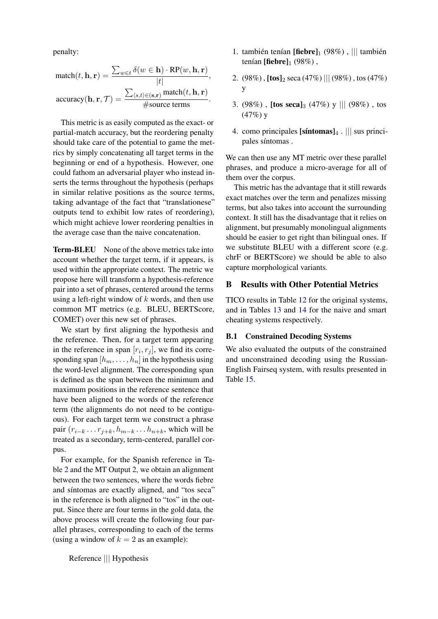penalty:

$$
\begin{aligned} \text{match}(t,\mathbf{h},\mathbf{r}) &= \frac{\sum_{w\in t} \delta(w\in\mathbf{h})\cdot\text{RP}(w,\mathbf{h},\mathbf{r})}{|t|},\\ \text{accuracy}(\mathbf{h},\mathbf{r},\mathcal{T}) &= \frac{\sum_{\langle s,t\rangle\in(\mathbf{s},\mathbf{r})}\text{match}(t,\mathbf{h},\mathbf{r})}{\text{\#source terms}}. \end{aligned}
$$

This metric is as easily computed as the exact- or partial-match accuracy, but the reordering penalty should take care of the potential to game the metrics by simply concatenating all target terms in the beginning or end of a hypothesis. However, one could fathom an adversarial player who instead inserts the terms throughout the hypothesis (perhaps in similar relative positions as the source terms, taking advantage of the fact that "translationese" outputs tend to exhibit low rates of reordering), which might achieve lower reordering penalties in the average case than the naive concatenation.

Term-BLEU None of the above metrics take into account whether the target term, if it appears, is used within the appropriate context. The metric we propose here will transform a hypothesis-reference pair into a set of phrases, centered around the terms using a left-right window of  $k$  words, and then use common MT metrics (e.g. BLEU, BERTScore, COMET) over this new set of phrases.

We start by first aligning the hypothesis and the reference. Then, for a target term appearing in the reference in span  $[r_i, r_j]$ , we find its corresponding span  $[h_m, \ldots, h_n]$  in the hypothesis using the word-level alignment. The corresponding span is defined as the span between the minimum and maximum positions in the reference sentence that have been aligned to the words of the reference term (the alignments do not need to be contiguous). For each target term we construct a phrase pair  $(r_{i-k} \ldots r_{i+k}, h_{m-k} \ldots h_{n+k}$ , which will be treated as a secondary, term-centered, parallel corpus.

For example, for the Spanish reference in Table [2](#page-2-0) and the MT Output 2, we obtain an alignment between the two sentences, where the words fiebre and síntomas are exactly aligned, and "tos seca" in the reference is both aligned to "tos" in the output. Since there are four terms in the gold data, the above process will create the following four parallel phrases, corresponding to each of the terms (using a window of  $k = 2$  as an example):

Reference ||| Hypothesis

- 1. también tenían [fiebre] $_1$  (98%), ||| también tenían  $[fiber]_1$  (98%),
- 2.  $(98\%)$ ,  $[\text{tos}]_2 \text{ seca} (47\%)$  ||| $(98\%)$ , tos  $(47\%)$ y
- 3. (98%),  $[\text{tos } \text{seca}]_3$  (47%) y ||| (98%), tos  $(47%)y$
- 4. como principales [síntomas] $_4$ . ||| sus principales síntomas.

We can then use any MT metric over these parallel phrases, and produce a micro-average for all of them over the corpus.

This metric has the advantage that it still rewards exact matches over the term and penalizes missing terms, but also takes into account the surrounding context. It still has the disadvantage that it relies on alignment, but presumably monolingual alignments should be easier to get right than bilingual ones. If we substitute BLEU with a different score (e.g. chrF or BERTScore) we should be able to also capture morphological variants.

#### B Results with Other Potential Metrics

TICO results in Table [12](#page-13-0) for the original systems, and in Tables [13](#page-13-1) and [14](#page-13-2) for the naive and smart cheating systems respectively.

### B.1 Constrained Decoding Systems

We also evaluated the outputs of the constrained and unconstrained decoding using the Russian-English Fairseq system, with results presented in Table [15.](#page-14-0)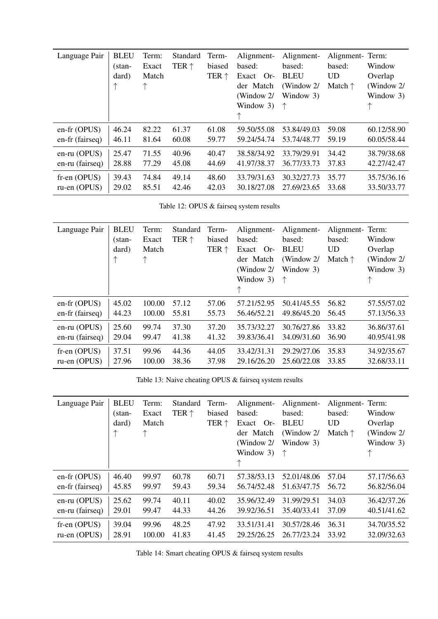<span id="page-13-0"></span>

| Language Pair   | <b>BLEU</b><br>$(stan-$<br>dard) | Term:<br>Exact<br>Match<br>个 | Standard<br>TER $\uparrow$ | Term-<br>biased<br>TER ↑ | Alignment-<br>based:<br>Exact Or-<br>der Match<br>(Window 2/<br>Window 3)<br>↑ | Alignment-<br>based:<br><b>BLEU</b><br>(Window 2/<br>Window 3) | Alignment-Term:<br>based:<br><b>UD</b><br>Match $\uparrow$ | Window<br>Overlap<br>(Window 2/<br>Window 3) |
|-----------------|----------------------------------|------------------------------|----------------------------|--------------------------|--------------------------------------------------------------------------------|----------------------------------------------------------------|------------------------------------------------------------|----------------------------------------------|
| $en-fr(OPUS)$   | 46.24                            | 82.22                        | 61.37                      | 61.08                    | 59.50/55.08                                                                    | 53.84/49.03                                                    | 59.08                                                      | 60.12/58.90                                  |
| en-fr (fairseq) | 46.11                            | 81.64                        | 60.08                      | 59.77                    | 59.24/54.74                                                                    | 53.74/48.77                                                    | 59.19                                                      | 60.05/58.44                                  |
| $en-ru$ (OPUS)  | 25.47                            | 71.55                        | 40.96                      | 40.47                    | 38.58/34.92                                                                    | 33.79/29.91                                                    | 34.42                                                      | 38.79/38.68                                  |
| en-ru (fairseq) | 28.88                            | 77.29                        | 45.08                      | 44.69                    | 41.97/38.37                                                                    | 36.77/33.73                                                    | 37.83                                                      | 42.27/42.47                                  |
| $f$ r-en (OPUS) | 39.43                            | 74.84                        | 49.14                      | 48.60                    | 33.79/31.63                                                                    | 30.32/27.73                                                    | 35.77                                                      | 35.75/36.16                                  |
| ru-en (OPUS)    | 29.02                            | 85.51                        | 42.46                      | 42.03                    | 30.18/27.08                                                                    | 27.69/23.65                                                    | 33.68                                                      | 33.50/33.77                                  |

Table 12: OPUS & fairseq system results

<span id="page-13-1"></span>

| Language Pair   | <b>BLEU</b><br>$(stan-$<br>dard) | Term:<br>Exact<br>Match<br>个 | Standard<br>TER $\uparrow$ | Term-<br>biased<br>TER ↑ | Alignment-<br>based:<br>Exact Or-<br>der Match<br>(Window 2/<br>Window 3)<br>↑ | Alignment-<br>based:<br><b>BLEU</b><br>(Window 2/<br>Window 3)<br>$\uparrow$ | Alignment-Term:<br>based:<br><b>UD</b><br>Match $\uparrow$ | Window<br>Overlap<br>(Window 2/<br>Window 3) |
|-----------------|----------------------------------|------------------------------|----------------------------|--------------------------|--------------------------------------------------------------------------------|------------------------------------------------------------------------------|------------------------------------------------------------|----------------------------------------------|
| $en-fr(OPUS)$   | 45.02                            | 100.00                       | 57.12                      | 57.06                    | 57.21/52.95                                                                    | 50.41/45.55                                                                  | 56.82                                                      | 57.55/57.02                                  |
| en-fr (fairseq) | 44.23                            | 100.00                       | 55.81                      | 55.73                    | 56.46/52.21                                                                    | 49.86/45.20                                                                  | 56.45                                                      | 57.13/56.33                                  |
| $en-ru$ (OPUS)  | 25.60                            | 99.74                        | 37.30                      | 37.20                    | 35.73/32.27                                                                    | 30.76/27.86                                                                  | 33.82                                                      | 36.86/37.61                                  |
| en-ru (fairseq) | 29.04                            | 99.47                        | 41.38                      | 41.32                    | 39.83/36.41                                                                    | 34.09/31.60                                                                  | 36.90                                                      | 40.95/41.98                                  |
| $f$ r-en (OPUS) | 37.51                            | 99.96                        | 44.36                      | 44.05                    | 33.42/31.31                                                                    | 29.29/27.06                                                                  | 35.83                                                      | 34.92/35.67                                  |
| ru-en (OPUS)    | 27.96                            | 100.00                       | 38.36                      | 37.98                    | 29.16/26.20                                                                    | 25.60/22.08                                                                  | 33.85                                                      | 32.68/33.11                                  |

Table 13: Naive cheating OPUS & fairseq system results

<span id="page-13-2"></span>

| Language Pair   | <b>BLEU</b><br>$(stan-$<br>dard) | Term:<br>Exact<br>Match<br>个 | Standard<br>TER $\uparrow$ | Term-<br>biased<br>TER $\uparrow$ | Alignment-<br>based:<br>Exact Or-<br>der Match<br>(Window 2/<br>Window 3)<br>↑ | Alignment-<br>based:<br><b>BLEU</b><br>(Window $2/$<br>Window 3)<br>↑ | Alignment-Term:<br>based:<br><b>UD</b><br>Match $\uparrow$ | Window<br>Overlap<br>(Window 2/<br>Window 3) |
|-----------------|----------------------------------|------------------------------|----------------------------|-----------------------------------|--------------------------------------------------------------------------------|-----------------------------------------------------------------------|------------------------------------------------------------|----------------------------------------------|
| en-fr (OPUS)    | 46.40                            | 99.97                        | 60.78                      | 60.71                             | 57.38/53.13                                                                    | 52.01/48.06                                                           | 57.04                                                      | 57.17/56.63                                  |
| en-fr (fairseq) | 45.85                            | 99.97                        | 59.43                      | 59.34                             | 56.74/52.48                                                                    | 51.63/47.75                                                           | 56.72                                                      | 56.82/56.04                                  |
| $en-ru$ (OPUS)  | 25.62                            | 99.74                        | 40.11                      | 40.02                             | 35.96/32.49                                                                    | 31.99/29.51                                                           | 34.03                                                      | 36.42/37.26                                  |
| en-ru (fairseq) | 29.01                            | 99.47                        | 44.33                      | 44.26                             | 39.92/36.51                                                                    | 35.40/33.41                                                           | 37.09                                                      | 40.51/41.62                                  |
| $f$ r-en (OPUS) | 39.04                            | 99.96                        | 48.25                      | 47.92                             | 33.51/31.41                                                                    | 30.57/28.46                                                           | 36.31                                                      | 34.70/35.52                                  |
| $ru-en(OPUS)$   | 28.91                            | 100.00                       | 41.83                      | 41.45                             | 29.25/26.25                                                                    | 26.77/23.24                                                           | 33.92                                                      | 32.09/32.63                                  |

Table 14: Smart cheating OPUS & fairseq system results